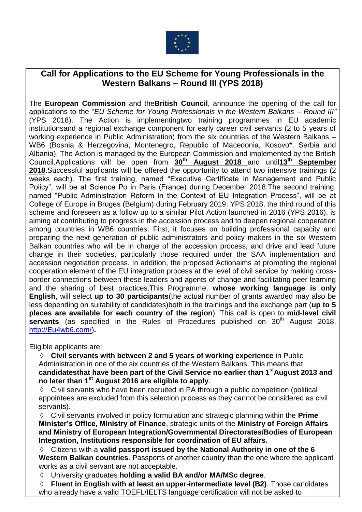

# **Call for Applications to the EU Scheme for Young Professionals in the Western Balkans – Round III (YPS 2018)**

The **European Commission** and the**British Council**, announce the opening of the call for applications to the "*EU Scheme for Young Professionals in the Western Balkans – Round III"* (YPS 2018). The Action is implementingtwo training programmes in EU academic institutionsand a regional exchange component for early career civil servants (2 to 5 years of working experience in Public Administration) from the six countries of the Western Balkans – WB6 (Bosnia & Herzegovina, Montenegro, Republic of Macedonia, Kosovo\*, Serbia and Albania). The Action is managed by the European Commission and implemented by the British Council.Applications will be open from **30th August 2018** and until**13th September 2018**.Successful applicants will be offered the opportunity to attend two intensive trainings (2 weeks each). The first training, named "Executive Certificate in Management and Public Policy", will be at Science Po in Paris (France) during December 2018.The second training, named "Public Administration Reform in the Context of EU Integration Process", will be at College of Europe in Bruges (Belgium) during February 2019. YPS 2018, the third round of this scheme and foreseen as a follow up to a similar Pilot Action launched in 2016 (YPS 2016), is aiming at contributing to progress in the accession process and to deepen regional cooperation among countries in WB6 countries. First, it focuses on building professional capacity and preparing the next generation of public administrators and policy makers in the six Western Balkan countries who will be in charge of the accession process, and drive and lead future change in their societies, particularly those required under the SAA implementation and accession negotiation process. In addition, the proposed Actionaims at promoting the regional cooperation element of the EU integration process at the level of civil service by making crossborder connections between these leaders and agents of change and facilitating peer learning and the sharing of best practices.This Programme, **whose working language is only English**, will select **up to 30 participants**(the actual number of grants awarded may also be less depending on suitability of candidates)both in the trainings and the exchange part (**up to 5 places are available for each country of the region**). This call is open to **mid-level civil**  servants (as specified in the Rules of Procedures published on 30<sup>th</sup> August 2018, [http://Eu4wb6.com/\)](http://eu4wb6.com/)**.**

Eligible applicants are:

 **Civil servants with between 2 and 5 years of working experience** in Public Administration in one of the six countries of the Western Balkans. This means that **candidatesthat have been part of the Civil Service no earlier than 1stAugust 2013 and no later than 1 st August 2016 are eligible to apply**.

 Civil servants who have been recruited in PA through a public competition (political appointees are excluded from this selection process as they cannot be considered as civil servants).

 Civil servants involved in policy formulation and strategic planning within the **Prime Minister's Office, Ministry of Finance**, strategic units of the **Ministry of Foreign Affairs and Ministry of European Integration/Governmental Directorates/Bodies of European Integration, Institutions responsible for coordination of EU affairs.**

 Citizens with a **valid passport issued by the National Authority in one of the 6 Western Balkan countries**. Passports of another country than the one where the applicant works as a civil servant are not acceptable.

University graduates **holding a valid BA and/or MA/MSc degree**.

 **Fluent in English with at least an upper-intermediate level (B2)**. Those candidates who already have a valid TOEFL/IELTS language certification will not be asked to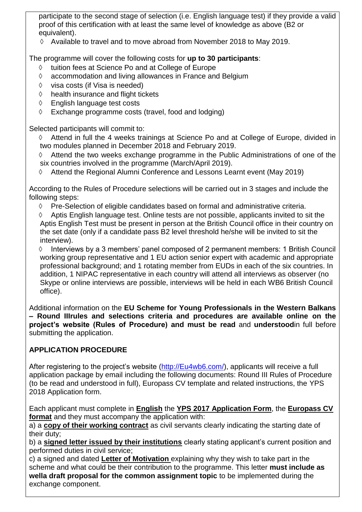participate to the second stage of selection (i.e. English language test) if they provide a valid proof of this certification with at least the same level of knowledge as above (B2 or equivalent).

 $\Diamond$  Available to travel and to move abroad from November 2018 to May 2019.

The programme will cover the following costs for **up to 30 participants**:

- $\Diamond$  tuition fees at Science Po and at College of Europe
- $\Diamond$  accommodation and living allowances in France and Belgium
- $\Diamond$  visa costs (if Visa is needed)
- $\Diamond$  health insurance and flight tickets
- English language test costs
- $\Diamond$  Exchange programme costs (travel, food and lodging)

Selected participants will commit to:

 Attend in full the 4 weeks trainings at Science Po and at College of Europe, divided in two modules planned in December 2018 and February 2019.

- $\Diamond$  Attend the two weeks exchange programme in the Public Administrations of one of the six countries involved in the programme (March/April 2019).
- $\Diamond$  Attend the Regional Alumni Conference and Lessons Learnt event (May 2019)

According to the Rules of Procedure selections will be carried out in 3 stages and include the following steps:

 $\Diamond$  Pre-Selection of eligible candidates based on formal and administrative criteria.

 $\Diamond$  Aptis English language test. Online tests are not possible, applicants invited to sit the Aptis English Test must be present in person at the British Council office in their country on the set date (only if a candidate pass B2 level threshold he/she will be invited to sit the interview).

 $\Diamond$  Interviews by a 3 members' panel composed of 2 permanent members: 1 British Council working group representative and 1 EU action senior expert with academic and appropriate professional background; and 1 rotating member from EUDs in each of the six countries. In addition, 1 NIPAC representative in each country will attend all interviews as observer (no Skype or online interviews are possible, interviews will be held in each WB6 British Council office).

Additional information on the **EU Scheme for Young Professionals in the Western Balkans – Round IIIrules and selections criteria and procedures are available online on the project's website (Rules of Procedure) and must be read** and **understood**in full before submitting the application.

# **APPLICATION PROCEDURE**

After registering to the project's website [\(http://Eu4wb6.com/\)](http://eu4wb6.com/), applicants will receive a full application package by email including the following documents: Round III Rules of Procedure (to be read and understood in full), Europass CV template and related instructions, the YPS 2018 Application form.

Each applicant must complete in **English** the **YPS 2017 Application Form**, the **Europass CV format** and they must accompany the application with:

a) a **copy of their working contract** as civil servants clearly indicating the starting date of their duty;

b) a **signed letter issued by their institutions** clearly stating applicant's current position and performed duties in civil service;

c) a signed and dated **Letter of Motivation** explaining why they wish to take part in the scheme and what could be their contribution to the programme. This letter **must include as wella draft proposal for the common assignment topic** to be implemented during the exchange component.